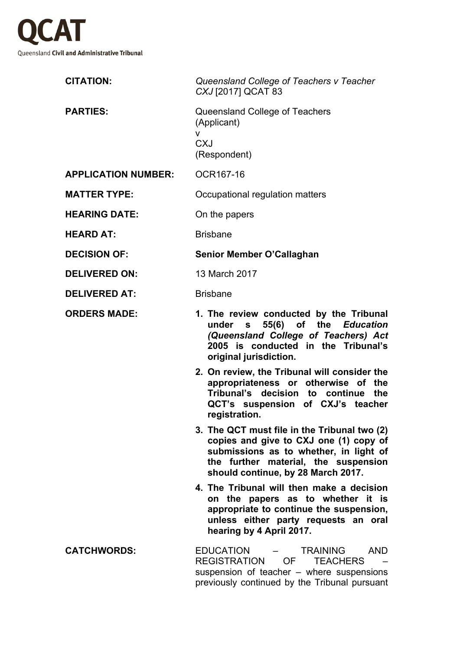

| <b>CITATION:</b>           | Queensland College of Teachers v Teacher<br>CXJ [2017] QCAT 83                                                                                                                                                 |
|----------------------------|----------------------------------------------------------------------------------------------------------------------------------------------------------------------------------------------------------------|
| <b>PARTIES:</b>            | Queensland College of Teachers<br>(Applicant)<br>V<br><b>CXJ</b><br>(Respondent)                                                                                                                               |
| <b>APPLICATION NUMBER:</b> | OCR167-16                                                                                                                                                                                                      |
| <b>MATTER TYPE:</b>        | Occupational regulation matters                                                                                                                                                                                |
| <b>HEARING DATE:</b>       | On the papers                                                                                                                                                                                                  |
| <b>HEARD AT:</b>           | <b>Brisbane</b>                                                                                                                                                                                                |
| <b>DECISION OF:</b>        | Senior Member O'Callaghan                                                                                                                                                                                      |
| <b>DELIVERED ON:</b>       | 13 March 2017                                                                                                                                                                                                  |
| <b>DELIVERED AT:</b>       | <b>Brisbane</b>                                                                                                                                                                                                |
| <b>ORDERS MADE:</b>        | 1. The review conducted by the Tribunal<br>under s 55(6) of the Education<br>(Queensland College of Teachers) Act<br>2005 is conducted in the Tribunal's<br>original jurisdiction.                             |
|                            | 2. On review, the Tribunal will consider the<br>appropriateness or otherwise of the<br>Tribunal's decision to continue the<br>QCT's suspension of CXJ's teacher<br>registration.                               |
|                            | 3. The QCT must file in the Tribunal two (2)<br>copies and give to CXJ one (1) copy of<br>submissions as to whether, in light of<br>the further material, the suspension<br>should continue, by 28 March 2017. |
|                            | 4. The Tribunal will then make a decision<br>on the papers as to whether it is<br>appropriate to continue the suspension,<br>unless either party requests an oral<br>hearing by 4 April 2017.                  |
| <b>CATCHWORDS:</b>         | EDUCATION<br><b>TRAINING</b><br><b>AND</b><br>REGISTRATION OF TEACHERS<br>suspension of teacher – where suspensions<br>previously continued by the Tribunal pursuant                                           |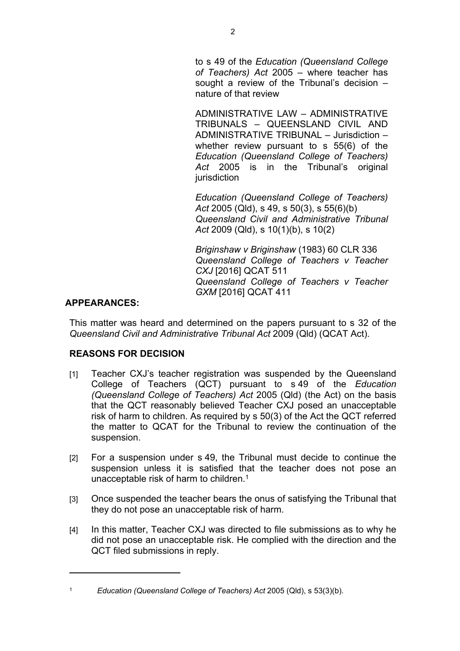to s 49 of the *Education (Queensland College of Teachers) Act* 2005 – where teacher has sought a review of the Tribunal's decision – nature of that review

ADMINISTRATIVE LAW – ADMINISTRATIVE TRIBUNALS – QUEENSLAND CIVIL AND ADMINISTRATIVE TRIBUNAL – Jurisdiction – whether review pursuant to s 55(6) of the *Education (Queensland College of Teachers)*  Act 2005 is in the Tribunal's original jurisdiction

*Education (Queensland College of Teachers) Act* 2005 (Qld), s 49, s 50(3), s 55(6)(b) *Queensland Civil and Administrative Tribunal Act* 2009 (Qld), s 10(1)(b), s 10(2)

*Briginshaw v Briginshaw* (1983) 60 CLR 336 *Queensland College of Teachers v Teacher CXJ* [2016] QCAT 511 *Queensland College of Teachers v Teacher GXM* [2016] QCAT 411

## **APPEARANCES:**

This matter was heard and determined on the papers pursuant to s 32 of the *Queensland Civil and Administrative Tribunal Act* 2009 (Qld) (QCAT Act).

## **REASONS FOR DECISION**

- [1] Teacher CXJ's teacher registration was suspended by the Queensland College of Teachers (QCT) pursuant to s 49 of the *Education (Queensland College of Teachers) Act* 2005 (Qld) (the Act) on the basis that the QCT reasonably believed Teacher CXJ posed an unacceptable risk of harm to children. As required by s 50(3) of the Act the QCT referred the matter to QCAT for the Tribunal to review the continuation of the suspension.
- [2] For a suspension under s 49, the Tribunal must decide to continue the suspension unless it is satisfied that the teacher does not pose an unacceptable risk of harm to children.<sup>1</sup>
- [3] Once suspended the teacher bears the onus of satisfying the Tribunal that they do not pose an unacceptable risk of harm.
- [4] In this matter, Teacher CXJ was directed to file submissions as to why he did not pose an unacceptable risk. He complied with the direction and the QCT filed submissions in reply.

<sup>1</sup> *Education (Queensland College of Teachers) Act* 2005 (Qld), s 53(3)(b).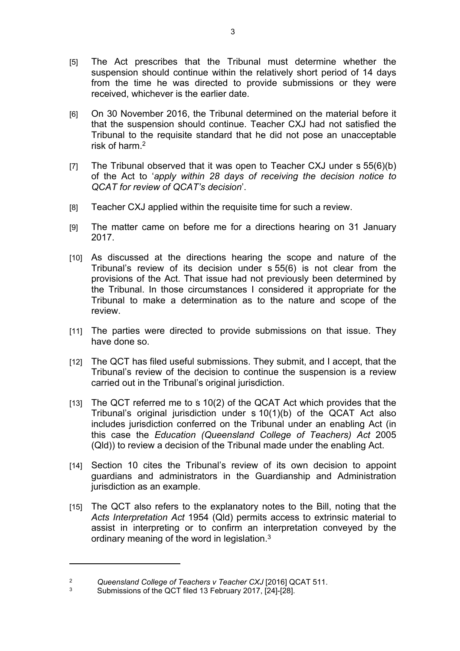- [5] The Act prescribes that the Tribunal must determine whether the suspension should continue within the relatively short period of 14 days from the time he was directed to provide submissions or they were received, whichever is the earlier date.
- [6] On 30 November 2016, the Tribunal determined on the material before it that the suspension should continue. Teacher CXJ had not satisfied the Tribunal to the requisite standard that he did not pose an unacceptable risk of harm  $2$
- [7] The Tribunal observed that it was open to Teacher CXJ under s 55(6)(b) of the Act to '*apply within 28 days of receiving the decision notice to QCAT for review of QCAT's decision*'.
- [8] Teacher CXJ applied within the requisite time for such a review.
- [9] The matter came on before me for a directions hearing on 31 January 2017.
- [10] As discussed at the directions hearing the scope and nature of the Tribunal's review of its decision under s 55(6) is not clear from the provisions of the Act. That issue had not previously been determined by the Tribunal. In those circumstances I considered it appropriate for the Tribunal to make a determination as to the nature and scope of the review.
- [11] The parties were directed to provide submissions on that issue. They have done so.
- [12] The QCT has filed useful submissions. They submit, and I accept, that the Tribunal's review of the decision to continue the suspension is a review carried out in the Tribunal's original jurisdiction.
- [13] The QCT referred me to s 10(2) of the QCAT Act which provides that the Tribunal's original jurisdiction under s 10(1)(b) of the QCAT Act also includes jurisdiction conferred on the Tribunal under an enabling Act (in this case the *Education (Queensland College of Teachers) Act* 2005 (Qld)) to review a decision of the Tribunal made under the enabling Act.
- [14] Section 10 cites the Tribunal's review of its own decision to appoint guardians and administrators in the Guardianship and Administration jurisdiction as an example.
- [15] The QCT also refers to the explanatory notes to the Bill, noting that the *Acts Interpretation Act* 1954 (Qld) permits access to extrinsic material to assist in interpreting or to confirm an interpretation conveyed by the ordinary meaning of the word in legislation.<sup>3</sup>

<sup>2</sup> *Queensland College of Teachers v Teacher CXJ* [2016] QCAT 511.

<sup>3</sup> Submissions of the QCT filed 13 February 2017, [24]-[28].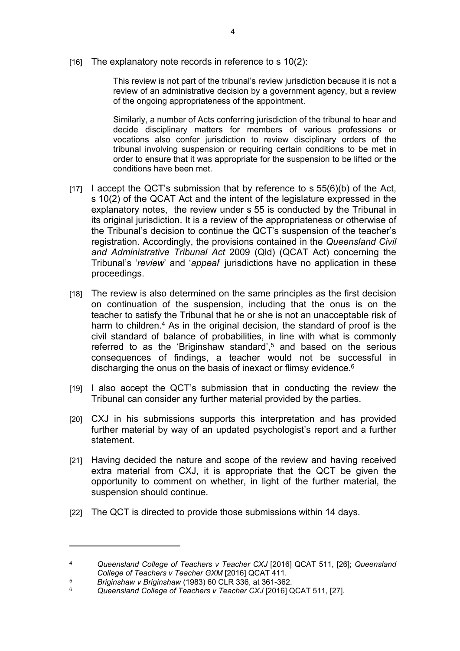[16] The explanatory note records in reference to s 10(2):

This review is not part of the tribunal's review jurisdiction because it is not a review of an administrative decision by a government agency, but a review of the ongoing appropriateness of the appointment.

Similarly, a number of Acts conferring jurisdiction of the tribunal to hear and decide disciplinary matters for members of various professions or vocations also confer jurisdiction to review disciplinary orders of the tribunal involving suspension or requiring certain conditions to be met in order to ensure that it was appropriate for the suspension to be lifted or the conditions have been met.

- $[17]$  I accept the QCT's submission that by reference to s  $55(6)(b)$  of the Act, s 10(2) of the QCAT Act and the intent of the legislature expressed in the explanatory notes, the review under s 55 is conducted by the Tribunal in its original jurisdiction. It is a review of the appropriateness or otherwise of the Tribunal's decision to continue the QCT's suspension of the teacher's registration. Accordingly, the provisions contained in the *Queensland Civil and Administrative Tribunal Act* 2009 (Qld) (QCAT Act) concerning the Tribunal's '*review*' and '*appeal*' jurisdictions have no application in these proceedings.
- [18] The review is also determined on the same principles as the first decision on continuation of the suspension, including that the onus is on the teacher to satisfy the Tribunal that he or she is not an unacceptable risk of harm to children.<sup>4</sup> As in the original decision, the standard of proof is the civil standard of balance of probabilities, in line with what is commonly referred to as the 'Briginshaw standard',<sup>5</sup> and based on the serious consequences of findings, a teacher would not be successful in discharging the onus on the basis of inexact or flimsy evidence.<sup>6</sup>
- [19] I also accept the QCT's submission that in conducting the review the Tribunal can consider any further material provided by the parties.
- [20] CXJ in his submissions supports this interpretation and has provided further material by way of an updated psychologist's report and a further statement.
- [21] Having decided the nature and scope of the review and having received extra material from CXJ, it is appropriate that the QCT be given the opportunity to comment on whether, in light of the further material, the suspension should continue.
- [22] The QCT is directed to provide those submissions within 14 days.

<sup>4</sup> *Queensland College of Teachers v Teacher CXJ* [2016] QCAT 511, [26]; *Queensland College of Teachers v Teacher GXM* [2016] QCAT 411.

<sup>5</sup> *Briginshaw v Briginshaw* (1983) 60 CLR 336, at 361-362.

<sup>6</sup> *Queensland College of Teachers v Teacher CXJ* [2016] QCAT 511, [27].